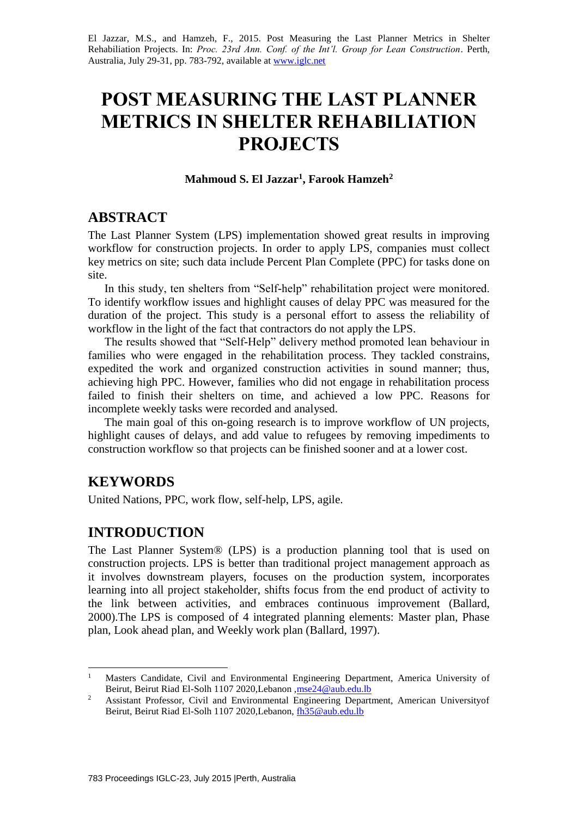El Jazzar, M.S., and Hamzeh, F., 2015. Post Measuring the Last Planner Metrics in Shelter Rehabiliation Projects. In: *Proc. 23rd Ann. Conf. of the Int'l. Group for Lean Construction*. Perth, Australia, July 29-31, pp. 783-792, available a[t www.iglc.net](http://www.iglc.net/)

# **POST MEASURING THE LAST PLANNER METRICS IN SHELTER REHABILIATION PROJECTS**

#### **Mahmoud S. El Jazzar<sup>1</sup> , Farook Hamzeh<sup>2</sup>**

### **ABSTRACT**

The Last Planner System (LPS) implementation showed great results in improving workflow for construction projects. In order to apply LPS, companies must collect key metrics on site; such data include Percent Plan Complete (PPC) for tasks done on site.

In this study, ten shelters from "Self-help" rehabilitation project were monitored. To identify workflow issues and highlight causes of delay PPC was measured for the duration of the project. This study is a personal effort to assess the reliability of workflow in the light of the fact that contractors do not apply the LPS.

The results showed that "Self-Help" delivery method promoted lean behaviour in families who were engaged in the rehabilitation process. They tackled constrains, expedited the work and organized construction activities in sound manner; thus, achieving high PPC. However, families who did not engage in rehabilitation process failed to finish their shelters on time, and achieved a low PPC. Reasons for incomplete weekly tasks were recorded and analysed.

The main goal of this on-going research is to improve workflow of UN projects, highlight causes of delays, and add value to refugees by removing impediments to construction workflow so that projects can be finished sooner and at a lower cost.

## **KEYWORDS**

1

United Nations, PPC, work flow, self-help, LPS, agile.

### **INTRODUCTION**

The Last Planner System® (LPS) is a production planning tool that is used on construction projects. LPS is better than traditional project management approach as it involves downstream players, focuses on the production system, incorporates learning into all project stakeholder, shifts focus from the end product of activity to the link between activities, and embraces continuous improvement (Ballard, 2000).The LPS is composed of 4 integrated planning elements: Master plan, Phase plan, Look ahead plan, and Weekly work plan (Ballard, 1997).

<sup>&</sup>lt;sup>1</sup> Masters Candidate, Civil and Environmental Engineering Department, America University of Beirut, Beirut Riad El-Solh 1107 2020,Lebanon, mse24@aub.edu.lb

<sup>&</sup>lt;sup>2</sup> Assistant Professor, Civil and Environmental Engineering Department, American Universityof Beirut, Beirut Riad El-Solh 1107 2020, Lebanon[, fh35@aub.edu.lb](mailto:fh35@aub.edu.lb)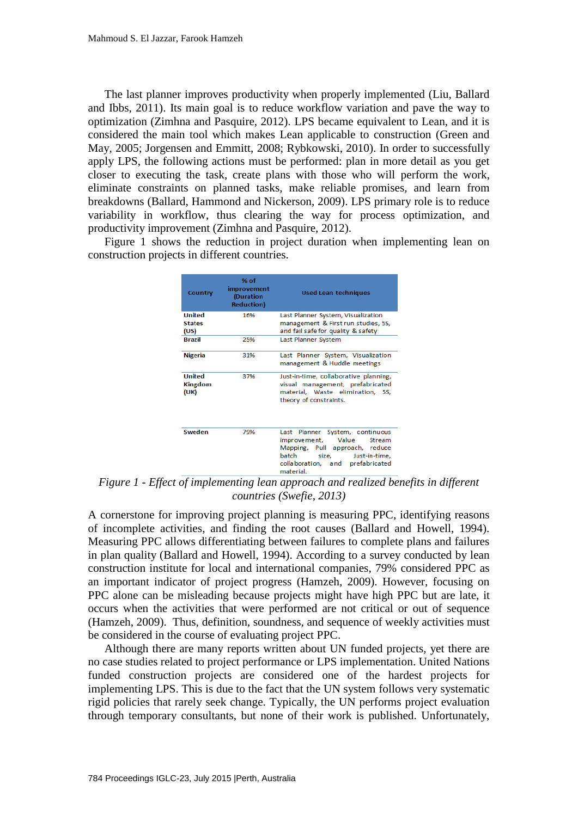The last planner improves productivity when properly implemented (Liu, Ballard and Ibbs, 2011). Its main goal is to reduce workflow variation and pave the way to optimization (Zimhna and Pasquire, 2012). LPS became equivalent to Lean, and it is considered the main tool which makes Lean applicable to construction (Green and May, 2005; Jorgensen and Emmitt, 2008; Rybkowski, 2010). In order to successfully apply LPS, the following actions must be performed: plan in more detail as you get closer to executing the task, create plans with those who will perform the work, eliminate constraints on planned tasks, make reliable promises, and learn from breakdowns (Ballard, Hammond and Nickerson, 2009). LPS primary role is to reduce variability in workflow, thus clearing the way for process optimization, and productivity improvement (Zimhna and Pasquire, 2012).

Figure 1 shows the reduction in project duration when implementing lean on construction projects in different countries.

| Country                                 | % $of$<br>improvement<br>(Duration<br><b>Reduction</b> ) | <b>Used Lean techniques</b>                                                                                                                                                                  |  |
|-----------------------------------------|----------------------------------------------------------|----------------------------------------------------------------------------------------------------------------------------------------------------------------------------------------------|--|
| United<br><b>States</b><br>(US)         | 16%                                                      | Last Planner System, Visualization<br>management & First run studies, 5S,<br>and fail safe for quality & safety                                                                              |  |
| <b>Brazil</b>                           | 25%                                                      | Last Planner System                                                                                                                                                                          |  |
| <b>Nigeria</b>                          | 31%                                                      | Last Planner System, Visualization<br>management & Huddle meetings                                                                                                                           |  |
| <b>United</b><br><b>Kingdom</b><br>(UK) | 37%                                                      | Just-in-time, collaborative planning,<br>visual management, prefabricated<br>material, Waste elimination, 5S,<br>theory of constraints.                                                      |  |
| Sweden                                  | 79%                                                      | Last Planner System, continuous<br>Value<br>improvement,<br><b>Stream</b><br>Mapping, Pull approach, reduce<br>batch size.<br>Just-in-time.<br>collaboration, and prefabricated<br>material. |  |

*Figure 1 - Effect of implementing lean approach and realized benefits in different countries (Swefie, 2013)*

A cornerstone for improving project planning is measuring PPC, identifying reasons of incomplete activities, and finding the root causes (Ballard and Howell, 1994). Measuring PPC allows differentiating between failures to complete plans and failures in plan quality (Ballard and Howell, 1994). According to a survey conducted by lean construction institute for local and international companies, 79% considered PPC as an important indicator of project progress (Hamzeh, 2009). However, focusing on PPC alone can be misleading because projects might have high PPC but are late, it occurs when the activities that were performed are not critical or out of sequence (Hamzeh, 2009). Thus, definition, soundness, and sequence of weekly activities must be considered in the course of evaluating project PPC.

Although there are many reports written about UN funded projects, yet there are no case studies related to project performance or LPS implementation. United Nations funded construction projects are considered one of the hardest projects for implementing LPS. This is due to the fact that the UN system follows very systematic rigid policies that rarely seek change. Typically, the UN performs project evaluation through temporary consultants, but none of their work is published. Unfortunately,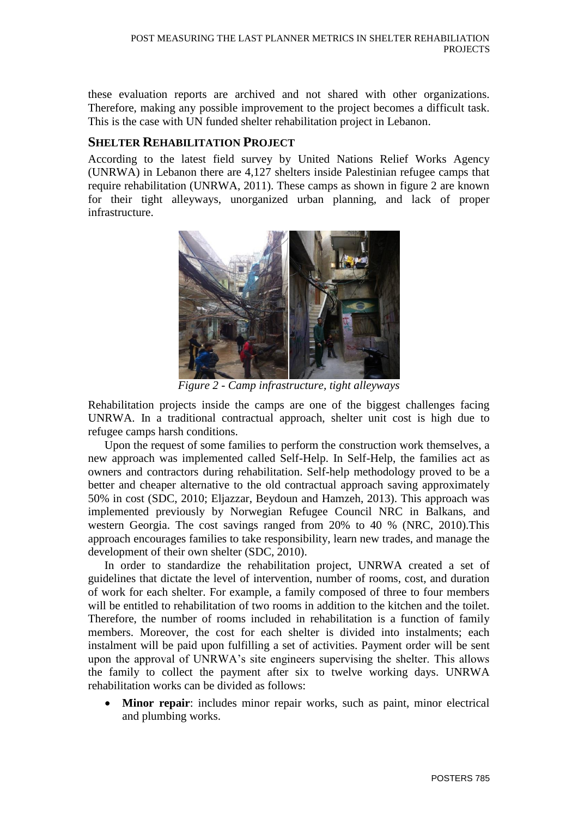these evaluation reports are archived and not shared with other organizations. Therefore, making any possible improvement to the project becomes a difficult task. This is the case with UN funded shelter rehabilitation project in Lebanon.

#### **SHELTER REHABILITATION PROJECT**

According to the latest field survey by United Nations Relief Works Agency (UNRWA) in Lebanon there are 4,127 shelters inside Palestinian refugee camps that require rehabilitation (UNRWA, 2011). These camps as shown in figure 2 are known for their tight alleyways, unorganized urban planning, and lack of proper infrastructure.



*Figure 2 - Camp infrastructure, tight alleyways*

Rehabilitation projects inside the camps are one of the biggest challenges facing UNRWA. In a traditional contractual approach, shelter unit cost is high due to refugee camps harsh conditions.

Upon the request of some families to perform the construction work themselves, a new approach was implemented called Self-Help. In Self-Help, the families act as owners and contractors during rehabilitation. Self-help methodology proved to be a better and cheaper alternative to the old contractual approach saving approximately 50% in cost (SDC, 2010; Eljazzar, Beydoun and Hamzeh, 2013). This approach was implemented previously by Norwegian Refugee Council NRC in Balkans, and western Georgia. The cost savings ranged from 20% to 40 % (NRC, 2010).This approach encourages families to take responsibility, learn new trades, and manage the development of their own shelter (SDC, 2010).

In order to standardize the rehabilitation project, UNRWA created a set of guidelines that dictate the level of intervention, number of rooms, cost, and duration of work for each shelter. For example, a family composed of three to four members will be entitled to rehabilitation of two rooms in addition to the kitchen and the toilet. Therefore, the number of rooms included in rehabilitation is a function of family members. Moreover, the cost for each shelter is divided into instalments; each instalment will be paid upon fulfilling a set of activities. Payment order will be sent upon the approval of UNRWA's site engineers supervising the shelter. This allows the family to collect the payment after six to twelve working days. UNRWA rehabilitation works can be divided as follows:

 **Minor repair**: includes minor repair works, such as paint, minor electrical and plumbing works.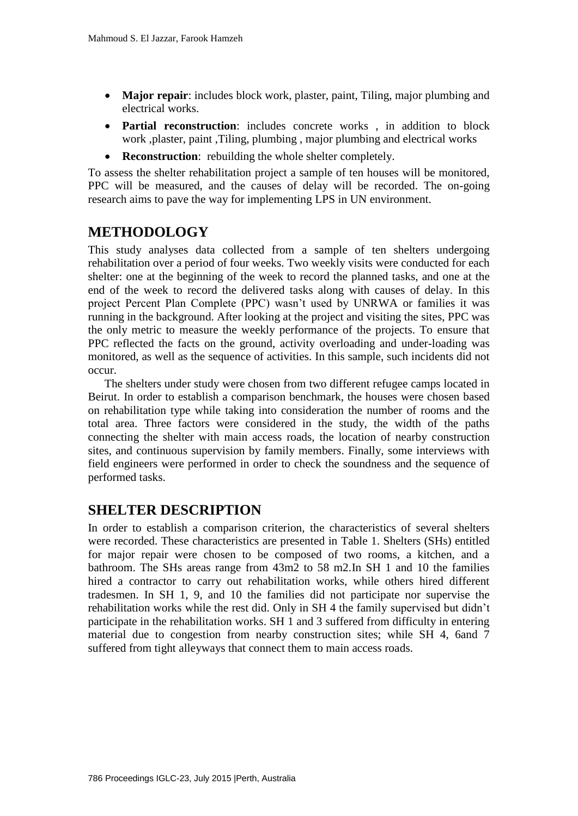- **Major repair**: includes block work, plaster, paint, Tiling, major plumbing and electrical works.
- **Partial reconstruction**: includes concrete works , in addition to block work ,plaster, paint ,Tiling, plumbing , major plumbing and electrical works
- **Reconstruction**: rebuilding the whole shelter completely.

To assess the shelter rehabilitation project a sample of ten houses will be monitored, PPC will be measured, and the causes of delay will be recorded. The on-going research aims to pave the way for implementing LPS in UN environment.

# **METHODOLOGY**

This study analyses data collected from a sample of ten shelters undergoing rehabilitation over a period of four weeks. Two weekly visits were conducted for each shelter: one at the beginning of the week to record the planned tasks, and one at the end of the week to record the delivered tasks along with causes of delay. In this project Percent Plan Complete (PPC) wasn't used by UNRWA or families it was running in the background. After looking at the project and visiting the sites, PPC was the only metric to measure the weekly performance of the projects. To ensure that PPC reflected the facts on the ground, activity overloading and under-loading was monitored, as well as the sequence of activities. In this sample, such incidents did not occur.

The shelters under study were chosen from two different refugee camps located in Beirut. In order to establish a comparison benchmark, the houses were chosen based on rehabilitation type while taking into consideration the number of rooms and the total area. Three factors were considered in the study, the width of the paths connecting the shelter with main access roads, the location of nearby construction sites, and continuous supervision by family members. Finally, some interviews with field engineers were performed in order to check the soundness and the sequence of performed tasks.

# **SHELTER DESCRIPTION**

In order to establish a comparison criterion, the characteristics of several shelters were recorded. These characteristics are presented in Table 1. Shelters (SHs) entitled for major repair were chosen to be composed of two rooms, a kitchen, and a bathroom. The SHs areas range from 43m2 to 58 m2.In SH 1 and 10 the families hired a contractor to carry out rehabilitation works, while others hired different tradesmen. In SH 1, 9, and 10 the families did not participate nor supervise the rehabilitation works while the rest did. Only in SH 4 the family supervised but didn't participate in the rehabilitation works. SH 1 and 3 suffered from difficulty in entering material due to congestion from nearby construction sites; while SH 4, 6and 7 suffered from tight alleyways that connect them to main access roads.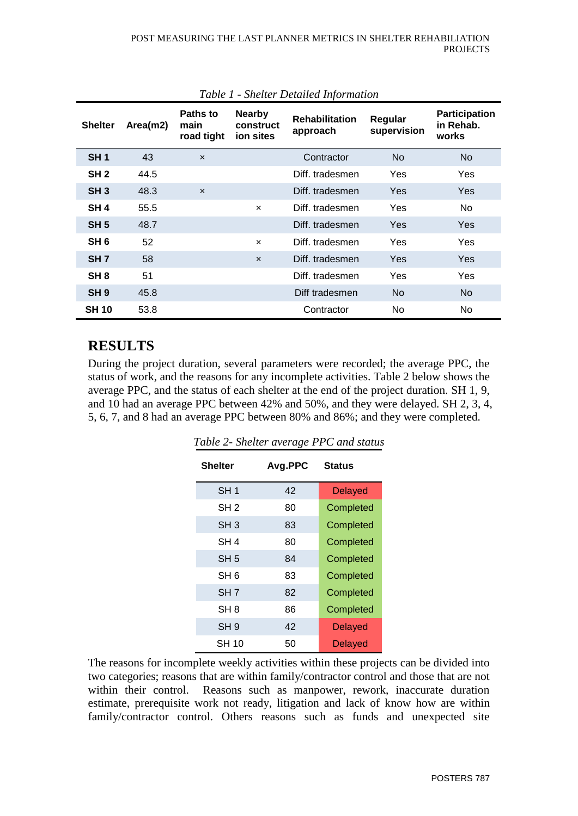| <b>Shelter</b>  | Area(m2) | Paths to<br>main<br>road tight | <b>Nearby</b><br>construct<br>ion sites | <b>Rehabilitation</b><br>approach | Regular<br>supervision | <b>Participation</b><br>in Rehab.<br>works |
|-----------------|----------|--------------------------------|-----------------------------------------|-----------------------------------|------------------------|--------------------------------------------|
| SH <sub>1</sub> | 43       | $\boldsymbol{\mathsf{x}}$      |                                         | Contractor                        | <b>No</b>              | No                                         |
| SH <sub>2</sub> | 44.5     |                                |                                         | Diff. tradesmen                   | Yes                    | Yes                                        |
| SH <sub>3</sub> | 48.3     | $\boldsymbol{\mathsf{x}}$      |                                         | Diff. tradesmen                   | Yes                    | <b>Yes</b>                                 |
| SH <sub>4</sub> | 55.5     |                                | $\boldsymbol{\mathsf{x}}$               | Diff. tradesmen                   | Yes                    | No.                                        |
| SH <sub>5</sub> | 48.7     |                                |                                         | Diff. tradesmen                   | Yes                    | Yes                                        |
| SH 6            | 52       |                                | $\boldsymbol{\mathsf{x}}$               | Diff. tradesmen                   | Yes                    | Yes                                        |
| SH <sub>7</sub> | 58       |                                | $\boldsymbol{\mathsf{x}}$               | Diff. tradesmen                   | Yes                    | <b>Yes</b>                                 |
| SH <sub>8</sub> | 51       |                                |                                         | Diff. tradesmen                   | Yes                    | Yes                                        |
| SH <sub>9</sub> | 45.8     |                                |                                         | Diff tradesmen                    | No.                    | No.                                        |
| <b>SH 10</b>    | 53.8     |                                |                                         | Contractor                        | No.                    | No.                                        |

#### *Table 1 - Shelter Detailed Information*

# **RESULTS**

During the project duration, several parameters were recorded; the average PPC, the status of work, and the reasons for any incomplete activities. Table 2 below shows the average PPC, and the status of each shelter at the end of the project duration. SH 1, 9, and 10 had an average PPC between 42% and 50%, and they were delayed. SH 2, 3, 4, 5, 6, 7, and 8 had an average PPC between 80% and 86%; and they were completed.

| <b>Shelter</b>  | Avg.PPC | <b>Status</b>  |  |
|-----------------|---------|----------------|--|
| SH <sub>1</sub> | 42      | <b>Delayed</b> |  |
| SH <sub>2</sub> | 80      | Completed      |  |
| SH 3            | 83      | Completed      |  |
| SH 4            | 80      | Completed      |  |
| SH <sub>5</sub> | 84      | Completed      |  |
| SH 6            | 83      | Completed      |  |
| SH 7            | 82      | Completed      |  |
| SH <sub>8</sub> | 86      | Completed      |  |
| SH <sub>9</sub> | 42      | <b>Delayed</b> |  |
| SH 10           | 50      | Delayed        |  |

*Table 2- Shelter average PPC and status*

The reasons for incomplete weekly activities within these projects can be divided into two categories; reasons that are within family/contractor control and those that are not within their control. Reasons such as manpower, rework, inaccurate duration estimate, prerequisite work not ready, litigation and lack of know how are within family/contractor control. Others reasons such as funds and unexpected site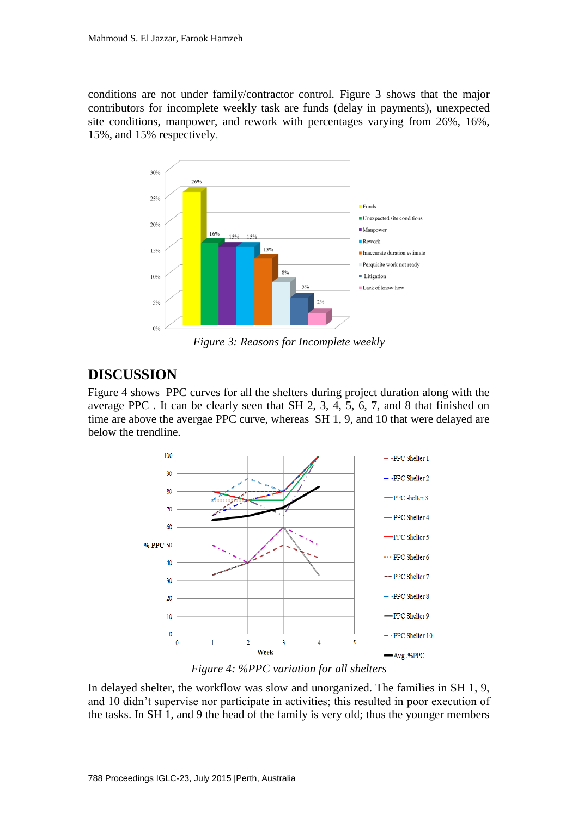conditions are not under family/contractor control. Figure 3 shows that the major contributors for incomplete weekly task are funds (delay in payments), unexpected site conditions, manpower, and rework with percentages varying from 26%, 16%, 15%, and 15% respectively.



*Figure 3: Reasons for Incomplete weekly* 

# **DISCUSSION**

Figure 4 shows PPC curves for all the shelters during project duration along with the average PPC . It can be clearly seen that SH 2, 3, 4, 5, 6, 7, and 8 that finished on time are above the avergae PPC curve, whereas SH 1, 9, and 10 that were delayed are below the trendline.



*Figure 4: %PPC variation for all shelters*

In delayed shelter, the workflow was slow and unorganized. The families in SH 1, 9, and 10 didn't supervise nor participate in activities; this resulted in poor execution of the tasks. In SH 1, and 9 the head of the family is very old; thus the younger members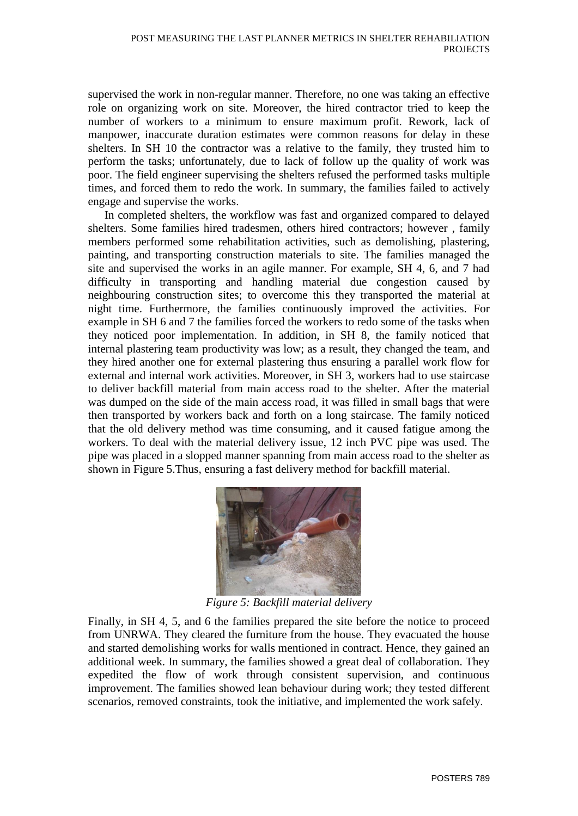supervised the work in non-regular manner. Therefore, no one was taking an effective role on organizing work on site. Moreover, the hired contractor tried to keep the number of workers to a minimum to ensure maximum profit. Rework, lack of manpower, inaccurate duration estimates were common reasons for delay in these shelters. In SH 10 the contractor was a relative to the family, they trusted him to perform the tasks; unfortunately, due to lack of follow up the quality of work was poor. The field engineer supervising the shelters refused the performed tasks multiple times, and forced them to redo the work. In summary, the families failed to actively engage and supervise the works.

In completed shelters, the workflow was fast and organized compared to delayed shelters. Some families hired tradesmen, others hired contractors; however , family members performed some rehabilitation activities, such as demolishing, plastering, painting, and transporting construction materials to site. The families managed the site and supervised the works in an agile manner. For example, SH 4, 6, and 7 had difficulty in transporting and handling material due congestion caused by neighbouring construction sites; to overcome this they transported the material at night time. Furthermore, the families continuously improved the activities. For example in SH 6 and 7 the families forced the workers to redo some of the tasks when they noticed poor implementation. In addition, in SH 8, the family noticed that internal plastering team productivity was low; as a result, they changed the team, and they hired another one for external plastering thus ensuring a parallel work flow for external and internal work activities. Moreover, in SH 3, workers had to use staircase to deliver backfill material from main access road to the shelter. After the material was dumped on the side of the main access road, it was filled in small bags that were then transported by workers back and forth on a long staircase. The family noticed that the old delivery method was time consuming, and it caused fatigue among the workers. To deal with the material delivery issue, 12 inch PVC pipe was used. The pipe was placed in a slopped manner spanning from main access road to the shelter as shown in Figure 5.Thus, ensuring a fast delivery method for backfill material.



*Figure 5: Backfill material delivery*

Finally, in SH 4, 5, and 6 the families prepared the site before the notice to proceed from UNRWA. They cleared the furniture from the house. They evacuated the house and started demolishing works for walls mentioned in contract. Hence, they gained an additional week. In summary, the families showed a great deal of collaboration. They expedited the flow of work through consistent supervision, and continuous improvement. The families showed lean behaviour during work; they tested different scenarios, removed constraints, took the initiative, and implemented the work safely.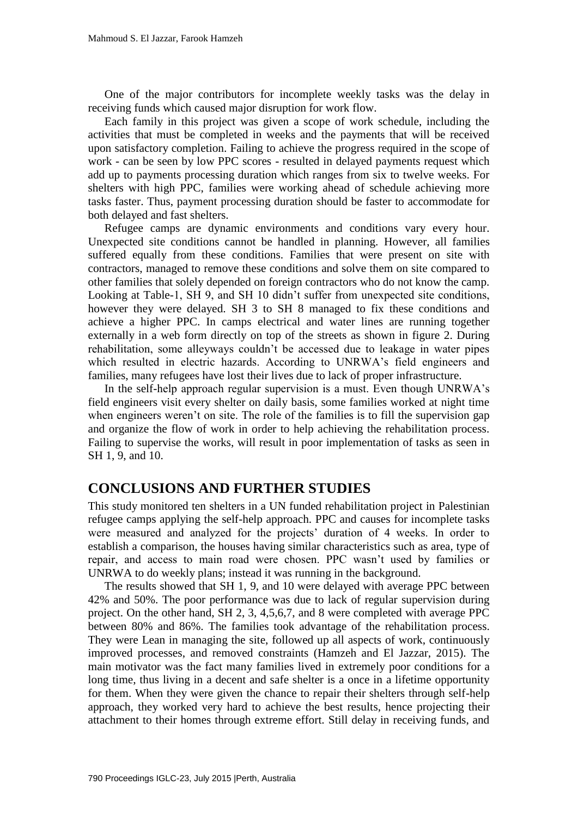One of the major contributors for incomplete weekly tasks was the delay in receiving funds which caused major disruption for work flow.

Each family in this project was given a scope of work schedule, including the activities that must be completed in weeks and the payments that will be received upon satisfactory completion. Failing to achieve the progress required in the scope of work - can be seen by low PPC scores - resulted in delayed payments request which add up to payments processing duration which ranges from six to twelve weeks. For shelters with high PPC, families were working ahead of schedule achieving more tasks faster. Thus, payment processing duration should be faster to accommodate for both delayed and fast shelters.

Refugee camps are dynamic environments and conditions vary every hour. Unexpected site conditions cannot be handled in planning. However, all families suffered equally from these conditions. Families that were present on site with contractors, managed to remove these conditions and solve them on site compared to other families that solely depended on foreign contractors who do not know the camp. Looking at Table-1, SH 9, and SH 10 didn't suffer from unexpected site conditions, however they were delayed. SH 3 to SH 8 managed to fix these conditions and achieve a higher PPC. In camps electrical and water lines are running together externally in a web form directly on top of the streets as shown in figure 2. During rehabilitation, some alleyways couldn't be accessed due to leakage in water pipes which resulted in electric hazards. According to UNRWA's field engineers and families, many refugees have lost their lives due to lack of proper infrastructure.

In the self-help approach regular supervision is a must. Even though UNRWA's field engineers visit every shelter on daily basis, some families worked at night time when engineers weren't on site. The role of the families is to fill the supervision gap and organize the flow of work in order to help achieving the rehabilitation process. Failing to supervise the works, will result in poor implementation of tasks as seen in SH 1, 9, and 10.

## **CONCLUSIONS AND FURTHER STUDIES**

This study monitored ten shelters in a UN funded rehabilitation project in Palestinian refugee camps applying the self-help approach. PPC and causes for incomplete tasks were measured and analyzed for the projects' duration of 4 weeks. In order to establish a comparison, the houses having similar characteristics such as area, type of repair, and access to main road were chosen. PPC wasn't used by families or UNRWA to do weekly plans; instead it was running in the background.

The results showed that SH 1, 9, and 10 were delayed with average PPC between 42% and 50%. The poor performance was due to lack of regular supervision during project. On the other hand, SH 2, 3, 4,5,6,7, and 8 were completed with average PPC between 80% and 86%. The families took advantage of the rehabilitation process. They were Lean in managing the site, followed up all aspects of work, continuously improved processes, and removed constraints (Hamzeh and El Jazzar, 2015). The main motivator was the fact many families lived in extremely poor conditions for a long time, thus living in a decent and safe shelter is a once in a lifetime opportunity for them. When they were given the chance to repair their shelters through self-help approach, they worked very hard to achieve the best results, hence projecting their attachment to their homes through extreme effort. Still delay in receiving funds, and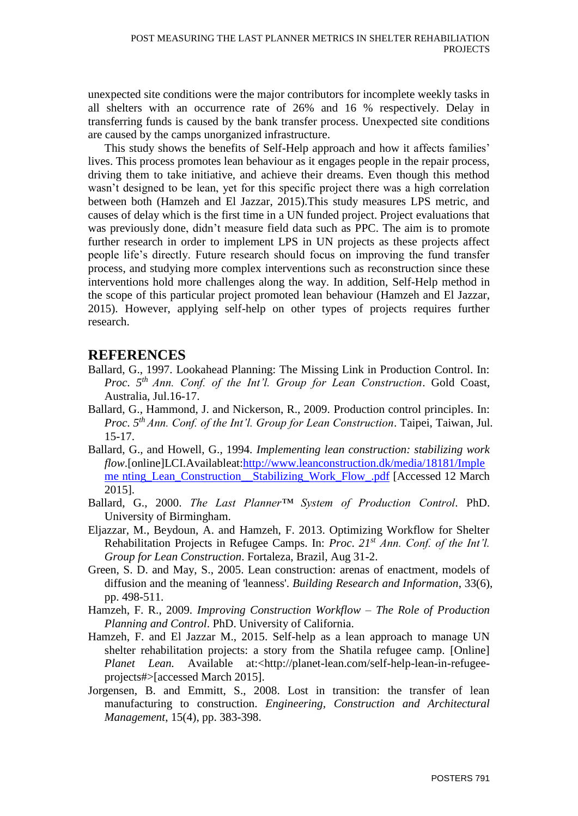unexpected site conditions were the major contributors for incomplete weekly tasks in all shelters with an occurrence rate of 26% and 16 % respectively. Delay in transferring funds is caused by the bank transfer process. Unexpected site conditions are caused by the camps unorganized infrastructure.

This study shows the benefits of Self-Help approach and how it affects families' lives. This process promotes lean behaviour as it engages people in the repair process, driving them to take initiative, and achieve their dreams. Even though this method wasn't designed to be lean, yet for this specific project there was a high correlation between both (Hamzeh and El Jazzar, 2015).This study measures LPS metric, and causes of delay which is the first time in a UN funded project. Project evaluations that was previously done, didn't measure field data such as PPC. The aim is to promote further research in order to implement LPS in UN projects as these projects affect people life's directly. Future research should focus on improving the fund transfer process, and studying more complex interventions such as reconstruction since these interventions hold more challenges along the way. In addition, Self-Help method in the scope of this particular project promoted lean behaviour (Hamzeh and El Jazzar, 2015). However, applying self-help on other types of projects requires further research.

## **REFERENCES**

- Ballard, G., 1997. Lookahead Planning: The Missing Link in Production Control. In: *Proc*. *5 th Ann. Conf. of the Int'l. Group for Lean Construction*. Gold Coast, Australia, Jul.16-17.
- Ballard, G., Hammond, J. and Nickerson, R., 2009. Production control principles. In: *Proc*. *5 th Ann. Conf. of the Int'l. Group for Lean Construction*. Taipei, Taiwan, Jul. 15-17.
- Ballard, G., and Howell, G., 1994*. Implementing lean construction: stabilizing work flow*.[online]LCI.Availableat[:http://www.leanconstruction.dk/media/18181/Imple](http://www.leanconstruction.dk/media/18181/Impleme%20nting_Lean_Construction__Stabilizing_Work_Flow_.pdf) me nting\_Lean\_Construction\_Stabilizing\_Work\_Flow\_.pdf [Accessed 12 March] 2015].
- Ballard, G., 2000. *The Last Planner™ System of Production Control.* PhD. University of Birmingham.
- Eljazzar, M., Beydoun, A. and Hamzeh, F. 2013. Optimizing Workflow for Shelter Rehabilitation Projects in Refugee Camps. In: *Proc*. *21st Ann. Conf. of the Int'l. Group for Lean Construction*. Fortaleza, Brazil, Aug 31-2.
- Green, S. D. and May, S., 2005. Lean construction: arenas of enactment, models of diffusion and the meaning of 'leanness'. *Building Research and Information*, 33(6), pp. 498-511.
- Hamzeh, F. R., 2009. *Improving Construction Workflow – The Role of Production Planning and Control*. PhD. University of California.
- Hamzeh, F. and El Jazzar M., 2015. Self-help as a lean approach to manage UN shelter rehabilitation projects: a story from the Shatila refugee camp. [Online] *Planet Lean.* Available at:<http://planet-lean.com/self-help-lean-in-refugeeprojects#>[accessed March 2015].
- Jorgensen, B. and Emmitt, S., 2008. Lost in transition: the transfer of lean manufacturing to construction. *Engineering, Construction and Architectural Management*, 15(4), pp. 383-398.